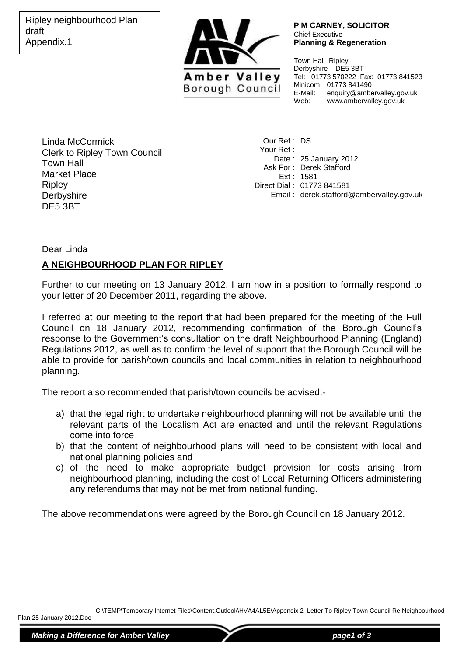

**P M CARNEY, SOLICITOR** Chief Executive **Planning & Regeneration**

Town Hall Ripley Derbyshire DE5 3BT Tel: 01773 570222 Fax: 01773 841523 Minicom: 01773 841490<br>E-Mail: enquiry@ambe E-Mail: enquiry@ambervalley.gov.uk<br>Web: www.ambervallev.gov.uk Web: www.ambervalley.gov.uk

Linda McCormick Clerk to Ripley Town Council Town Hall Market Place **Ripley Derbyshire** DE5 3BT

Our Ref : DS Your Ref : Date : 25 January 2012 Ask For : Derek Stafford Ext : 1581 Direct Dial : 01773 841581 Email : derek.stafford@ambervalley.gov.uk

Dear Linda

## **A NEIGHBOURHOOD PLAN FOR RIPLEY**

Further to our meeting on 13 January 2012, I am now in a position to formally respond to your letter of 20 December 2011, regarding the above.

I referred at our meeting to the report that had been prepared for the meeting of the Full Council on 18 January 2012, recommending confirmation of the Borough Council's response to the Government's consultation on the draft Neighbourhood Planning (England) Regulations 2012, as well as to confirm the level of support that the Borough Council will be able to provide for parish/town councils and local communities in relation to neighbourhood planning.

The report also recommended that parish/town councils be advised:-

- a) that the legal right to undertake neighbourhood planning will not be available until the relevant parts of the Localism Act are enacted and until the relevant Regulations come into force
- b) that the content of neighbourhood plans will need to be consistent with local and national planning policies and
- c) of the need to make appropriate budget provision for costs arising from neighbourhood planning, including the cost of Local Returning Officers administering any referendums that may not be met from national funding.

The above recommendations were agreed by the Borough Council on 18 January 2012.

C:\TEMP\Temporary Internet Files\Content.Outlook\HVA4AL5E\Appendix 2 Letter To Ripley Town Council Re Neighbourhood

Plan 25 January 2012.Doc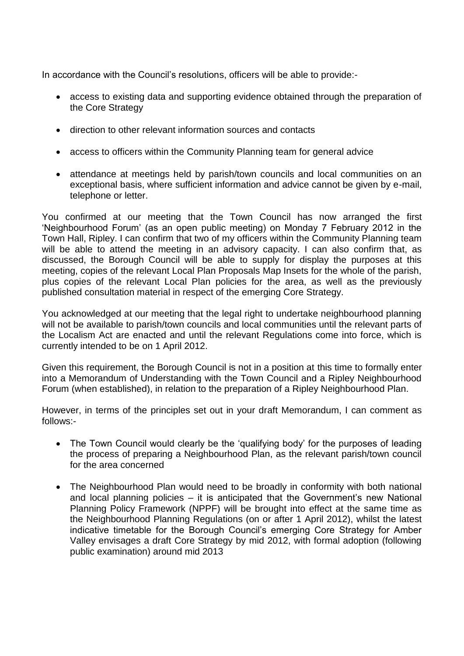In accordance with the Council's resolutions, officers will be able to provide:-

- access to existing data and supporting evidence obtained through the preparation of the Core Strategy
- direction to other relevant information sources and contacts
- access to officers within the Community Planning team for general advice
- attendance at meetings held by parish/town councils and local communities on an exceptional basis, where sufficient information and advice cannot be given by e-mail, telephone or letter.

You confirmed at our meeting that the Town Council has now arranged the first 'Neighbourhood Forum' (as an open public meeting) on Monday 7 February 2012 in the Town Hall, Ripley. I can confirm that two of my officers within the Community Planning team will be able to attend the meeting in an advisory capacity. I can also confirm that, as discussed, the Borough Council will be able to supply for display the purposes at this meeting, copies of the relevant Local Plan Proposals Map Insets for the whole of the parish, plus copies of the relevant Local Plan policies for the area, as well as the previously published consultation material in respect of the emerging Core Strategy.

You acknowledged at our meeting that the legal right to undertake neighbourhood planning will not be available to parish/town councils and local communities until the relevant parts of the Localism Act are enacted and until the relevant Regulations come into force, which is currently intended to be on 1 April 2012.

Given this requirement, the Borough Council is not in a position at this time to formally enter into a Memorandum of Understanding with the Town Council and a Ripley Neighbourhood Forum (when established), in relation to the preparation of a Ripley Neighbourhood Plan.

However, in terms of the principles set out in your draft Memorandum, I can comment as follows:-

- The Town Council would clearly be the 'qualifying body' for the purposes of leading the process of preparing a Neighbourhood Plan, as the relevant parish/town council for the area concerned
- The Neighbourhood Plan would need to be broadly in conformity with both national and local planning policies – it is anticipated that the Government's new National Planning Policy Framework (NPPF) will be brought into effect at the same time as the Neighbourhood Planning Regulations (on or after 1 April 2012), whilst the latest indicative timetable for the Borough Council's emerging Core Strategy for Amber Valley envisages a draft Core Strategy by mid 2012, with formal adoption (following public examination) around mid 2013